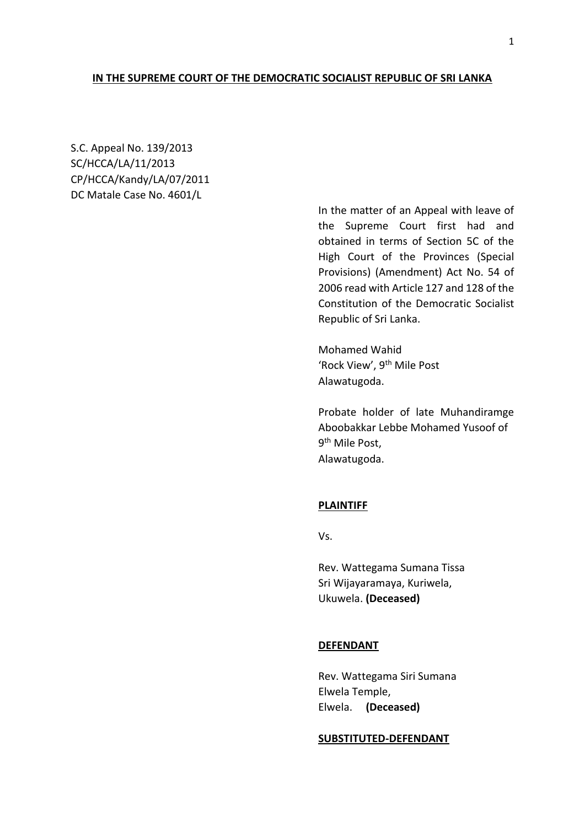# **IN THE SUPREME COURT OF THE DEMOCRATIC SOCIALIST REPUBLIC OF SRI LANKA**

S.C. Appeal No. 139/2013 SC/HCCA/LA/11/2013 CP/HCCA/Kandy/LA/07/2011 DC Matale Case No. 4601/L

> In the matter of an Appeal with leave of the Supreme Court first had and obtained in terms of Section 5C of the High Court of the Provinces (Special Provisions) (Amendment) Act No. 54 of 2006 read with Article 127 and 128 of the Constitution of the Democratic Socialist Republic of Sri Lanka.

Mohamed Wahid 'Rock View', 9th Mile Post Alawatugoda.

Probate holder of late Muhandiramge Aboobakkar Lebbe Mohamed Yusoof of 9<sup>th</sup> Mile Post, Alawatugoda.

# **PLAINTIFF**

Vs.

Rev. Wattegama Sumana Tissa Sri Wijayaramaya, Kuriwela, Ukuwela. **(Deceased)**

# **DEFENDANT**

Rev. Wattegama Siri Sumana Elwela Temple, Elwela. **(Deceased)**

#### **SUBSTITUTED-DEFENDANT**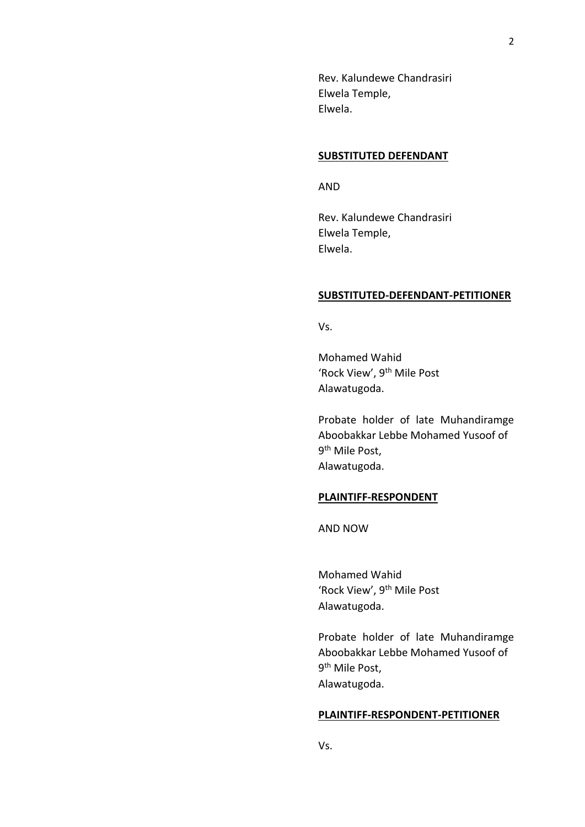Rev. Kalundewe Chandrasiri Elwela Temple, Elwela.

### **SUBSTITUTED DEFENDANT**

AND

Rev. Kalundewe Chandrasiri Elwela Temple, Elwela.

## **SUBSTITUTED-DEFENDANT-PETITIONER**

Vs.

Mohamed Wahid 'Rock View', 9th Mile Post Alawatugoda.

Probate holder of late Muhandiramge Aboobakkar Lebbe Mohamed Yusoof of 9<sup>th</sup> Mile Post, Alawatugoda.

## **PLAINTIFF-RESPONDENT**

AND NOW

Mohamed Wahid 'Rock View', 9<sup>th</sup> Mile Post Alawatugoda.

Probate holder of late Muhandiramge Aboobakkar Lebbe Mohamed Yusoof of 9<sup>th</sup> Mile Post, Alawatugoda.

## **PLAINTIFF-RESPONDENT-PETITIONER**

Vs.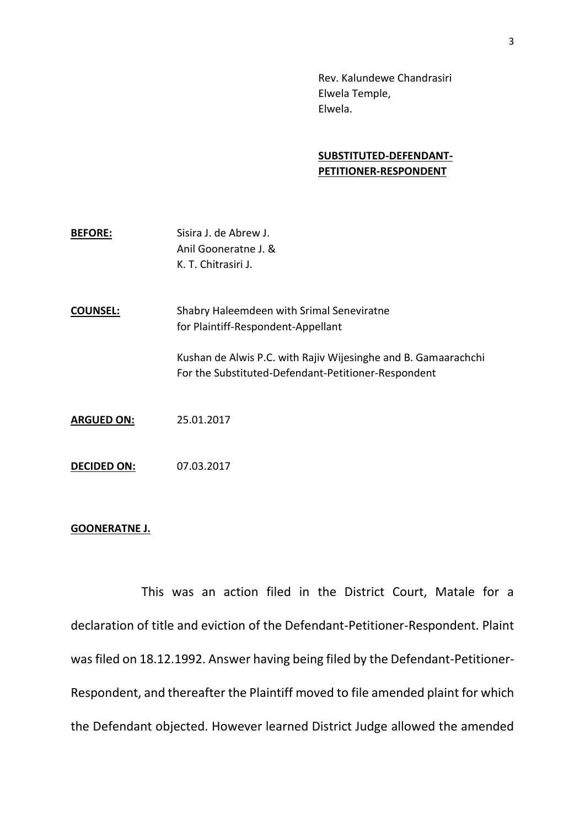Rev. Kalundewe Chandrasiri Elwela Temple, Elwela.

# **SUBSTITUTED-DEFENDANT-PETITIONER-RESPONDENT**

| <b>BEFORE:</b> | Sisira J. de Abrew J. |
|----------------|-----------------------|
|                | Anil Gooneratne J. &  |
|                | K. T. Chitrasiri J.   |

**COUNSEL:** Shabry Haleemdeen with Srimal Seneviratne for Plaintiff-Respondent-Appellant

> Kushan de Alwis P.C. with Rajiv Wijesinghe and B. Gamaarachchi For the Substituted-Defendant-Petitioner-Respondent

- **ARGUED ON:** 25.01.2017
- **DECIDED ON:** 07.03.2017

## **GOONERATNE J.**

This was an action filed in the District Court, Matale for a declaration of title and eviction of the Defendant-Petitioner-Respondent. Plaint was filed on 18.12.1992. Answer having being filed by the Defendant-Petitioner-Respondent, and thereafter the Plaintiff moved to file amended plaint for which the Defendant objected. However learned District Judge allowed the amended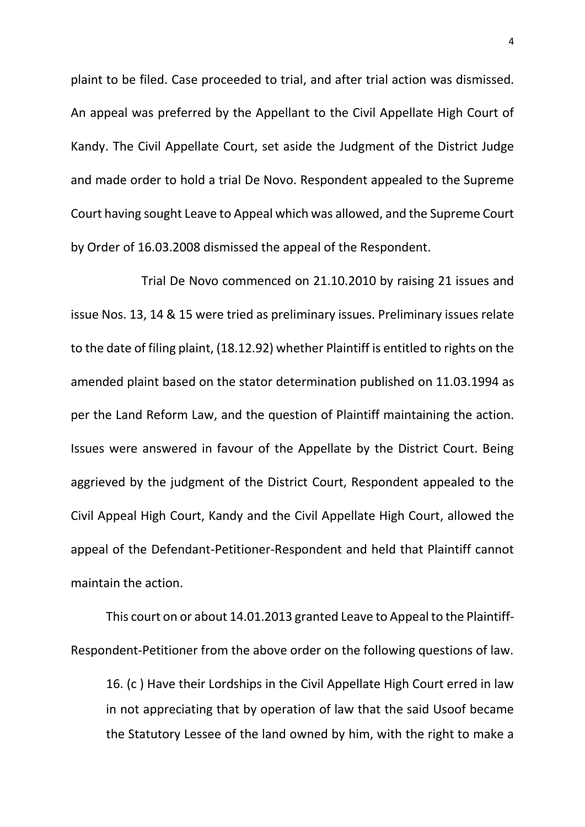plaint to be filed. Case proceeded to trial, and after trial action was dismissed. An appeal was preferred by the Appellant to the Civil Appellate High Court of Kandy. The Civil Appellate Court, set aside the Judgment of the District Judge and made order to hold a trial De Novo. Respondent appealed to the Supreme Court having sought Leave to Appeal which was allowed, and the Supreme Court by Order of 16.03.2008 dismissed the appeal of the Respondent.

Trial De Novo commenced on 21.10.2010 by raising 21 issues and issue Nos. 13, 14 & 15 were tried as preliminary issues. Preliminary issues relate to the date of filing plaint, (18.12.92) whether Plaintiff is entitled to rights on the amended plaint based on the stator determination published on 11.03.1994 as per the Land Reform Law, and the question of Plaintiff maintaining the action. Issues were answered in favour of the Appellate by the District Court. Being aggrieved by the judgment of the District Court, Respondent appealed to the Civil Appeal High Court, Kandy and the Civil Appellate High Court, allowed the appeal of the Defendant-Petitioner-Respondent and held that Plaintiff cannot maintain the action.

This court on or about 14.01.2013 granted Leave to Appeal to the Plaintiff-Respondent-Petitioner from the above order on the following questions of law.

16. (c ) Have their Lordships in the Civil Appellate High Court erred in law in not appreciating that by operation of law that the said Usoof became the Statutory Lessee of the land owned by him, with the right to make a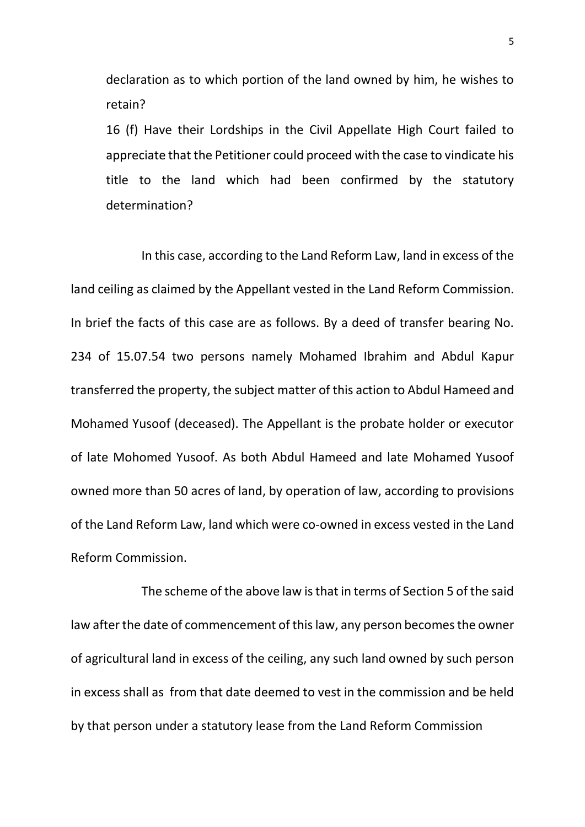declaration as to which portion of the land owned by him, he wishes to retain?

16 (f) Have their Lordships in the Civil Appellate High Court failed to appreciate that the Petitioner could proceed with the case to vindicate his title to the land which had been confirmed by the statutory determination?

In this case, according to the Land Reform Law, land in excess of the land ceiling as claimed by the Appellant vested in the Land Reform Commission. In brief the facts of this case are as follows. By a deed of transfer bearing No. 234 of 15.07.54 two persons namely Mohamed Ibrahim and Abdul Kapur transferred the property, the subject matter of this action to Abdul Hameed and Mohamed Yusoof (deceased). The Appellant is the probate holder or executor of late Mohomed Yusoof. As both Abdul Hameed and late Mohamed Yusoof owned more than 50 acres of land, by operation of law, according to provisions of the Land Reform Law, land which were co-owned in excess vested in the Land Reform Commission.

The scheme of the above law is that in terms of Section 5 of the said law after the date of commencement of this law, any person becomes the owner of agricultural land in excess of the ceiling, any such land owned by such person in excess shall as from that date deemed to vest in the commission and be held by that person under a statutory lease from the Land Reform Commission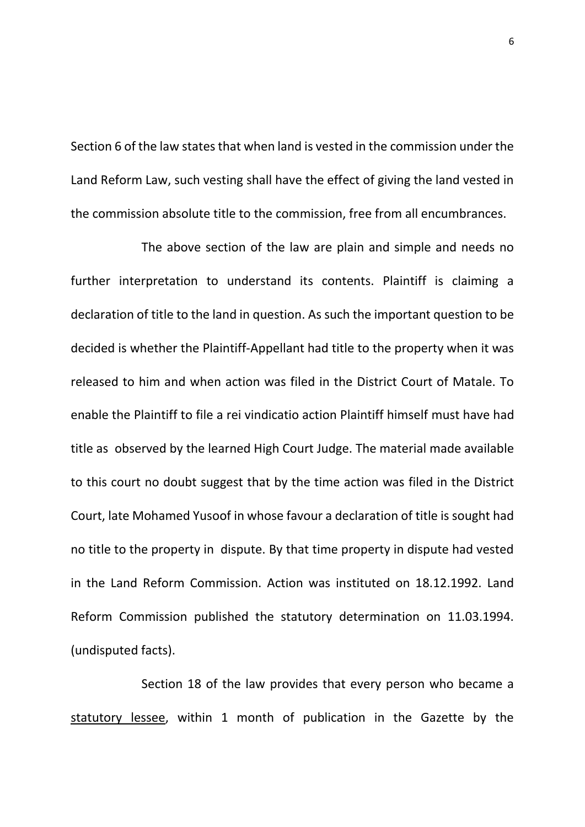Section 6 of the law states that when land is vested in the commission under the Land Reform Law, such vesting shall have the effect of giving the land vested in the commission absolute title to the commission, free from all encumbrances.

The above section of the law are plain and simple and needs no further interpretation to understand its contents. Plaintiff is claiming a declaration of title to the land in question. As such the important question to be decided is whether the Plaintiff-Appellant had title to the property when it was released to him and when action was filed in the District Court of Matale. To enable the Plaintiff to file a rei vindicatio action Plaintiff himself must have had title as observed by the learned High Court Judge. The material made available to this court no doubt suggest that by the time action was filed in the District Court, late Mohamed Yusoof in whose favour a declaration of title is sought had no title to the property in dispute. By that time property in dispute had vested in the Land Reform Commission. Action was instituted on 18.12.1992. Land Reform Commission published the statutory determination on 11.03.1994. (undisputed facts).

Section 18 of the law provides that every person who became a statutory lessee, within 1 month of publication in the Gazette by the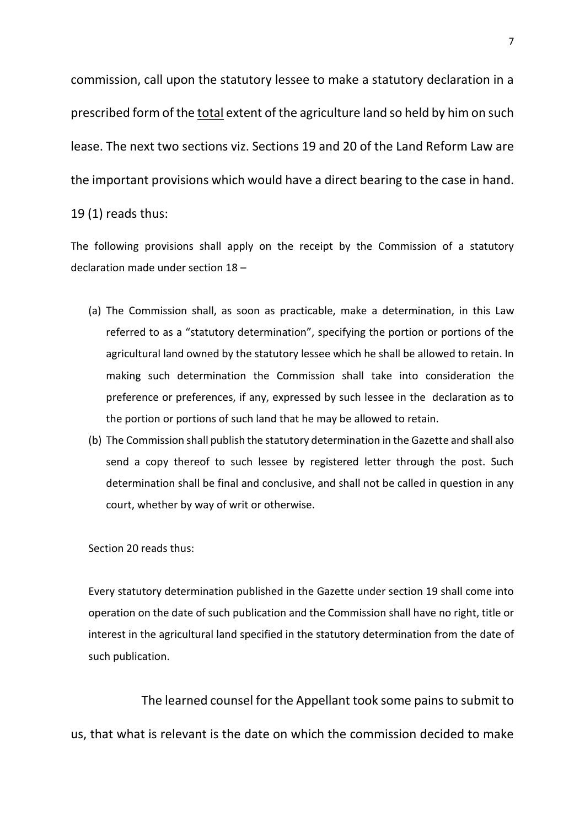commission, call upon the statutory lessee to make a statutory declaration in a prescribed form of the total extent of the agriculture land so held by him on such lease. The next two sections viz. Sections 19 and 20 of the Land Reform Law are the important provisions which would have a direct bearing to the case in hand. 19 (1) reads thus:

The following provisions shall apply on the receipt by the Commission of a statutory declaration made under section 18 –

- (a) The Commission shall, as soon as practicable, make a determination, in this Law referred to as a "statutory determination", specifying the portion or portions of the agricultural land owned by the statutory lessee which he shall be allowed to retain. In making such determination the Commission shall take into consideration the preference or preferences, if any, expressed by such lessee in the declaration as to the portion or portions of such land that he may be allowed to retain.
- (b) The Commission shall publish the statutory determination in the Gazette and shall also send a copy thereof to such lessee by registered letter through the post. Such determination shall be final and conclusive, and shall not be called in question in any court, whether by way of writ or otherwise.

## Section 20 reads thus:

Every statutory determination published in the Gazette under section 19 shall come into operation on the date of such publication and the Commission shall have no right, title or interest in the agricultural land specified in the statutory determination from the date of such publication.

The learned counsel for the Appellant took some pains to submit to us, that what is relevant is the date on which the commission decided to make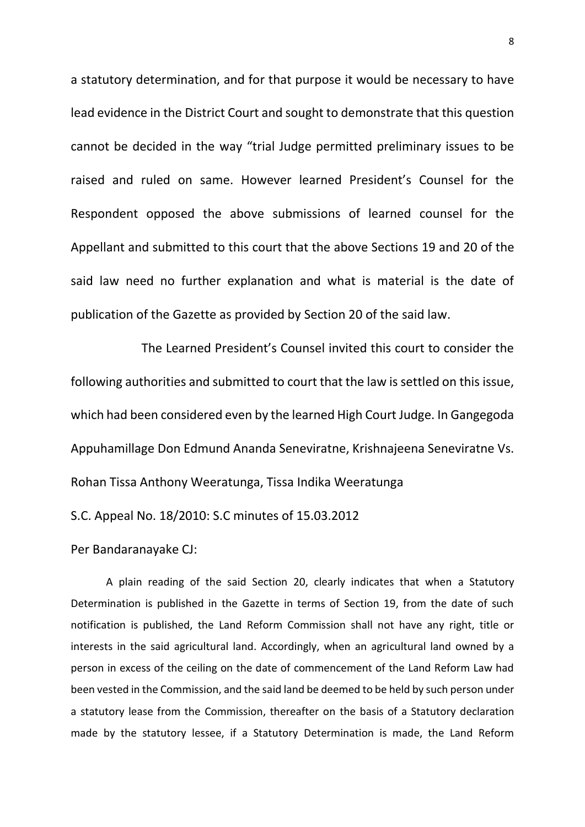a statutory determination, and for that purpose it would be necessary to have lead evidence in the District Court and sought to demonstrate that this question cannot be decided in the way "trial Judge permitted preliminary issues to be raised and ruled on same. However learned President's Counsel for the Respondent opposed the above submissions of learned counsel for the Appellant and submitted to this court that the above Sections 19 and 20 of the said law need no further explanation and what is material is the date of publication of the Gazette as provided by Section 20 of the said law.

The Learned President's Counsel invited this court to consider the following authorities and submitted to court that the law is settled on this issue, which had been considered even by the learned High Court Judge. In Gangegoda Appuhamillage Don Edmund Ananda Seneviratne, Krishnajeena Seneviratne Vs. Rohan Tissa Anthony Weeratunga, Tissa Indika Weeratunga

S.C. Appeal No. 18/2010: S.C minutes of 15.03.2012

Per Bandaranayake CJ:

A plain reading of the said Section 20, clearly indicates that when a Statutory Determination is published in the Gazette in terms of Section 19, from the date of such notification is published, the Land Reform Commission shall not have any right, title or interests in the said agricultural land. Accordingly, when an agricultural land owned by a person in excess of the ceiling on the date of commencement of the Land Reform Law had been vested in the Commission, and the said land be deemed to be held by such person under a statutory lease from the Commission, thereafter on the basis of a Statutory declaration made by the statutory lessee, if a Statutory Determination is made, the Land Reform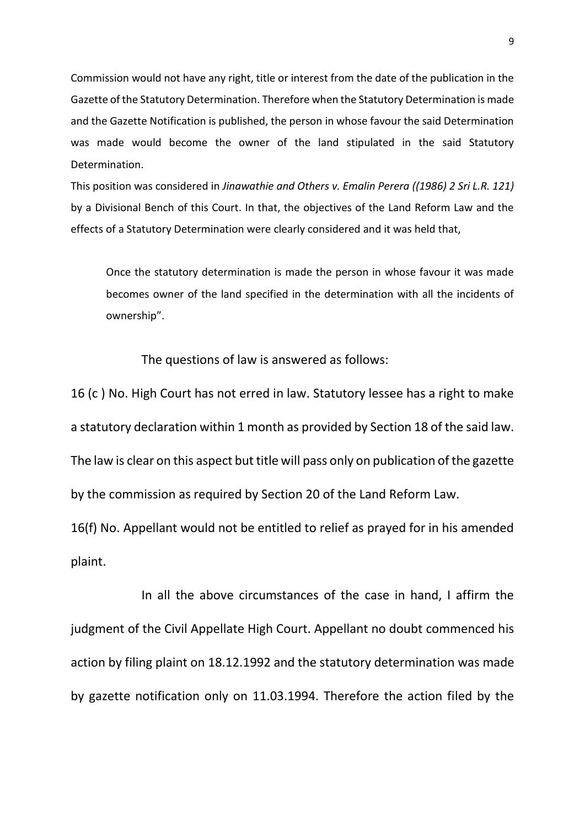Commission would not have any right, title or interest from the date of the publication in the Gazette of the Statutory Determination. Therefore when the Statutory Determination is made and the Gazette Notification is published, the person in whose favour the said Determination was made would become the owner of the land stipulated in the said Statutory Determination.

This position was considered in *Jinawathie and Others v. Emalin Perera ((1986) 2 Sri L.R. 121)* by a Divisional Bench of this Court. In that, the objectives of the Land Reform Law and the effects of a Statutory Determination were clearly considered and it was held that,

Once the statutory determination is made the person in whose favour it was made becomes owner of the land specified in the determination with all the incidents of ownership".

The questions of law is answered as follows:

16 (c ) No. High Court has not erred in law. Statutory lessee has a right to make a statutory declaration within 1 month as provided by Section 18 of the said law. The law is clear on this aspect but title will pass only on publication of the gazette by the commission as required by Section 20 of the Land Reform Law.

16(f) No. Appellant would not be entitled to relief as prayed for in his amended plaint.

In all the above circumstances of the case in hand, I affirm the judgment of the Civil Appellate High Court. Appellant no doubt commenced his action by filing plaint on 18.12.1992 and the statutory determination was made by gazette notification only on 11.03.1994. Therefore the action filed by the